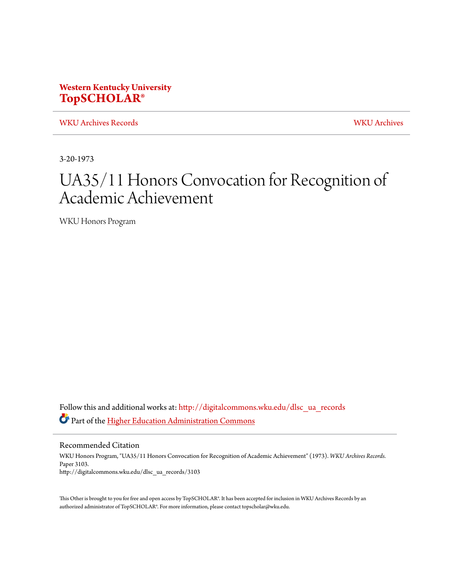## **Western Kentucky University [TopSCHOLAR®](http://digitalcommons.wku.edu?utm_source=digitalcommons.wku.edu%2Fdlsc_ua_records%2F3103&utm_medium=PDF&utm_campaign=PDFCoverPages)**

[WKU Archives Records](http://digitalcommons.wku.edu/dlsc_ua_records?utm_source=digitalcommons.wku.edu%2Fdlsc_ua_records%2F3103&utm_medium=PDF&utm_campaign=PDFCoverPages) [WKU Archives](http://digitalcommons.wku.edu/dlsc_ua?utm_source=digitalcommons.wku.edu%2Fdlsc_ua_records%2F3103&utm_medium=PDF&utm_campaign=PDFCoverPages)

3-20-1973

# UA35/11 Honors Convocation for Recognition of Academic Achievement

WKU Honors Program

Follow this and additional works at: [http://digitalcommons.wku.edu/dlsc\\_ua\\_records](http://digitalcommons.wku.edu/dlsc_ua_records?utm_source=digitalcommons.wku.edu%2Fdlsc_ua_records%2F3103&utm_medium=PDF&utm_campaign=PDFCoverPages) Part of the [Higher Education Administration Commons](http://network.bepress.com/hgg/discipline/791?utm_source=digitalcommons.wku.edu%2Fdlsc_ua_records%2F3103&utm_medium=PDF&utm_campaign=PDFCoverPages)

Recommended Citation WKU Honors Program, "UA35/11 Honors Convocation for Recognition of Academic Achievement" (1973). *WKU Archives Records.* Paper 3103. http://digitalcommons.wku.edu/dlsc\_ua\_records/3103

This Other is brought to you for free and open access by TopSCHOLAR®. It has been accepted for inclusion in WKU Archives Records by an authorized administrator of TopSCHOLAR®. For more information, please contact topscholar@wku.edu.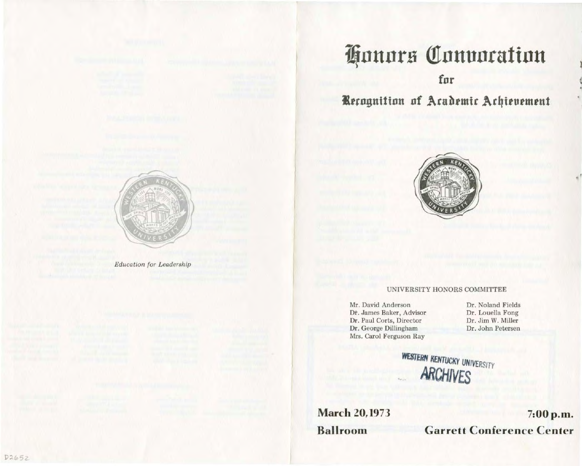**Education** for Leadership

# Honors Convocation

## fur

# Recognition of Academic Achievement



### UNIVERSITY HONORS COMMITTEE

Mr. David Anderson Dŕ. James Baker, Advisor Dr. Paul Corts, Director Dr. George Dillingham Mrs. Carol Ferguson Ray

Dr. Noland Fields Dr. Louella Fong Dr. Jim W. Miller Dr. John Petersen

WESTERN KENTUCKY UNIVERSITY VES

**March 20, 1973 Ballroom** 

7:00 p.m. **Garrett Conference Center**